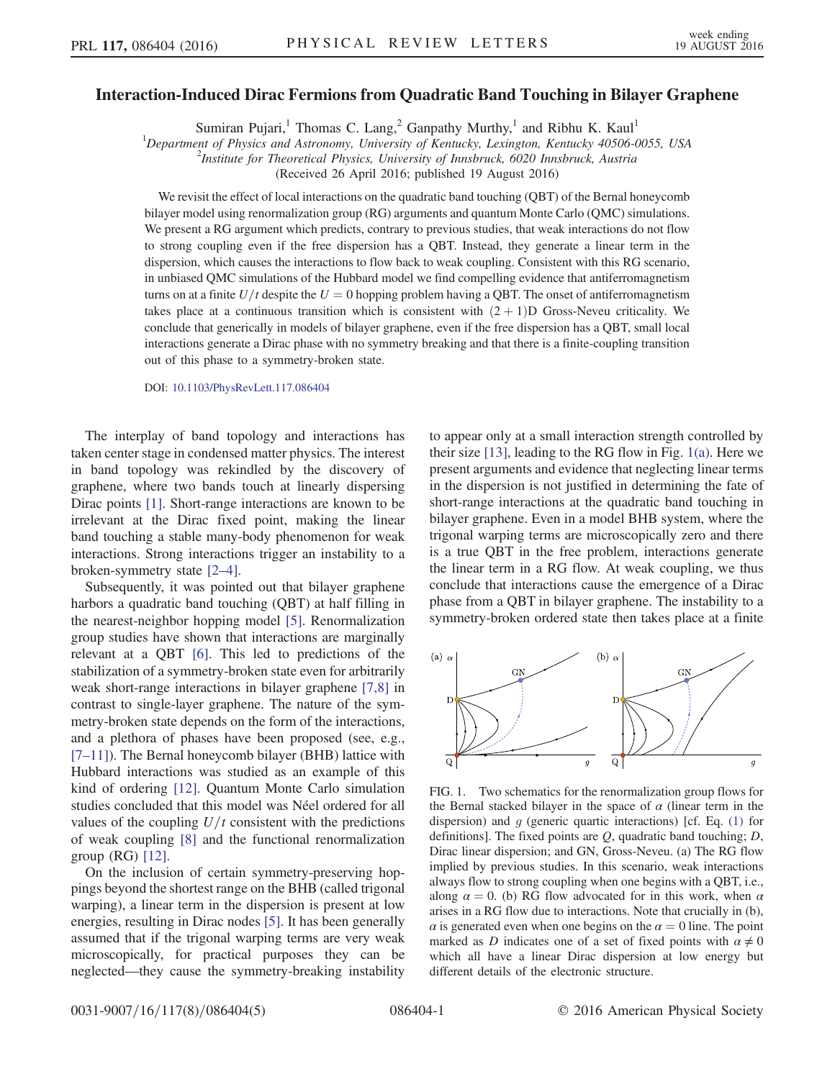## Interaction-Induced Dirac Fermions from Quadratic Band Touching in Bilayer Graphene

Sumiran Pujari,<sup>1</sup> Thomas C. Lang,<sup>2</sup> Ganpathy Murthy,<sup>1</sup> and Ribhu K. Kaul<sup>1</sup>

<sup>1</sup>Department of Physics and Astronomy, University of Kentucky, Lexington, Kentucky 40506-0055, USA  $\frac{2 \text{I}}{2}$ 

 $^{2}$ Institute for Theoretical Physics, University of Innsbruck, 6020 Innsbruck, Austria

(Received 26 April 2016; published 19 August 2016)

We revisit the effect of local interactions on the quadratic band touching (QBT) of the Bernal honeycomb bilayer model using renormalization group (RG) arguments and quantum Monte Carlo (QMC) simulations. We present a RG argument which predicts, contrary to previous studies, that weak interactions do not flow to strong coupling even if the free dispersion has a QBT. Instead, they generate a linear term in the dispersion, which causes the interactions to flow back to weak coupling. Consistent with this RG scenario, in unbiased QMC simulations of the Hubbard model we find compelling evidence that antiferromagnetism turns on at a finite  $U/t$  despite the  $U=0$  hopping problem having a QBT. The onset of antiferromagnetism takes place at a continuous transition which is consistent with  $(2 + 1)D$  Gross-Neveu criticality. We conclude that generically in models of bilayer graphene, even if the free dispersion has a QBT, small local interactions generate a Dirac phase with no symmetry breaking and that there is a finite-coupling transition out of this phase to a symmetry-broken state.

DOI: [10.1103/PhysRevLett.117.086404](http://dx.doi.org/10.1103/PhysRevLett.117.086404)

The interplay of band topology and interactions has taken center stage in condensed matter physics. The interest in band topology was rekindled by the discovery of graphene, where two bands touch at linearly dispersing Dirac points [\[1\].](#page-3-0) Short-range interactions are known to be irrelevant at the Dirac fixed point, making the linear band touching a stable many-body phenomenon for weak interactions. Strong interactions trigger an instability to a broken-symmetry state [2–[4\].](#page-3-1)

Subsequently, it was pointed out that bilayer graphene harbors a quadratic band touching (QBT) at half filling in the nearest-neighbor hopping model [\[5\].](#page-3-2) Renormalization group studies have shown that interactions are marginally relevant at a QBT [\[6\]](#page-3-3). This led to predictions of the stabilization of a symmetry-broken state even for arbitrarily weak short-range interactions in bilayer graphene [\[7,8\]](#page-3-4) in contrast to single-layer graphene. The nature of the symmetry-broken state depends on the form of the interactions, and a plethora of phases have been proposed (see, e.g., [7–[11\]\)](#page-3-4). The Bernal honeycomb bilayer (BHB) lattice with Hubbard interactions was studied as an example of this kind of ordering [\[12\].](#page-3-5) Quantum Monte Carlo simulation studies concluded that this model was Néel ordered for all values of the coupling  $U/t$  consistent with the predictions of weak coupling [\[8\]](#page-3-6) and the functional renormalization group (RG) [\[12\]](#page-3-5).

On the inclusion of certain symmetry-preserving hoppings beyond the shortest range on the BHB (called trigonal warping), a linear term in the dispersion is present at low energies, resulting in Dirac nodes [\[5\].](#page-3-2) It has been generally assumed that if the trigonal warping terms are very weak microscopically, for practical purposes they can be neglected—they cause the symmetry-breaking instability to appear only at a small interaction strength controlled by their size [\[13\]](#page-3-7), leading to the RG flow in Fig. [1\(a\)](#page-0-0). Here we present arguments and evidence that neglecting linear terms in the dispersion is not justified in determining the fate of short-range interactions at the quadratic band touching in bilayer graphene. Even in a model BHB system, where the trigonal warping terms are microscopically zero and there is a true QBT in the free problem, interactions generate the linear term in a RG flow. At weak coupling, we thus conclude that interactions cause the emergence of a Dirac phase from a QBT in bilayer graphene. The instability to a symmetry-broken ordered state then takes place at a finite

<span id="page-0-0"></span>

FIG. 1. Two schematics for the renormalization group flows for the Bernal stacked bilayer in the space of  $\alpha$  (linear term in the dispersion) and  $g$  (generic quartic interactions) [cf. Eq.  $(1)$  for definitions]. The fixed points are  $Q$ , quadratic band touching;  $D$ , Dirac linear dispersion; and GN, Gross-Neveu. (a) The RG flow implied by previous studies. In this scenario, weak interactions always flow to strong coupling when one begins with a QBT, i.e., along  $\alpha = 0$ . (b) RG flow advocated for in this work, when  $\alpha$ arises in a RG flow due to interactions. Note that crucially in (b),  $\alpha$  is generated even when one begins on the  $\alpha = 0$  line. The point marked as D indicates one of a set of fixed points with  $\alpha \neq 0$ which all have a linear Dirac dispersion at low energy but different details of the electronic structure.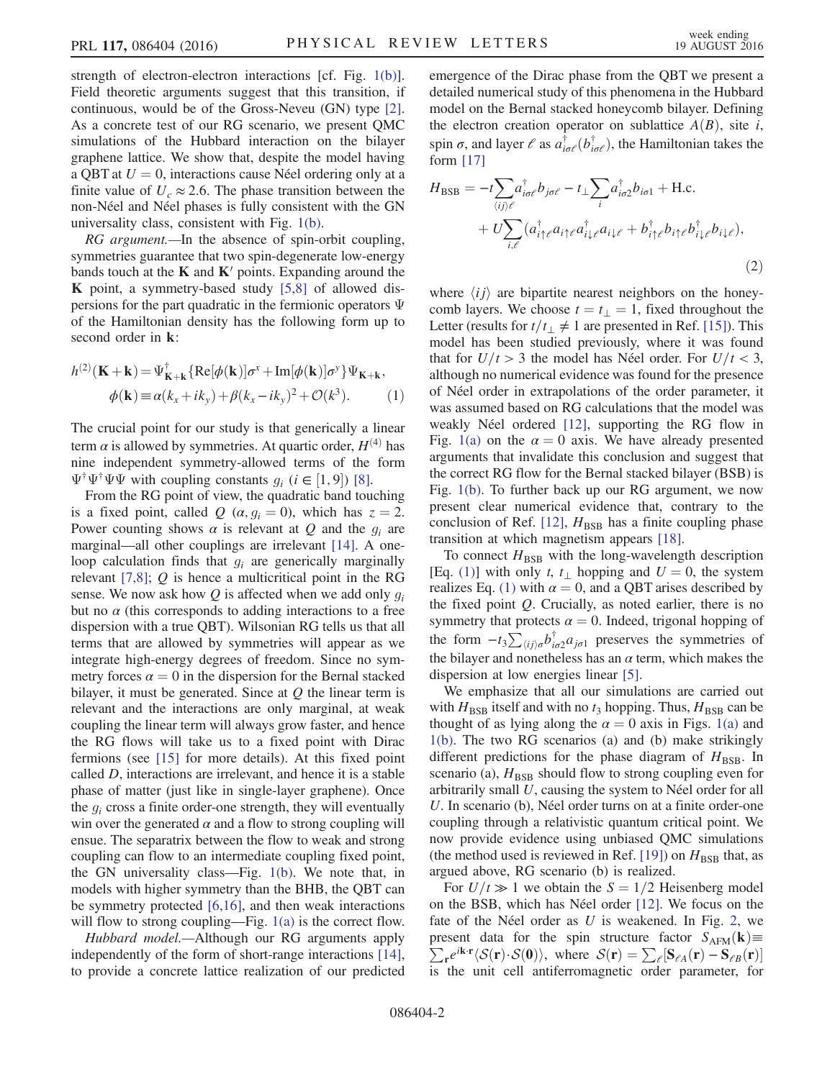strength of electron-electron interactions [cf. Fig. [1\(b\)](#page-0-0)]. Field theoretic arguments suggest that this transition, if continuous, would be of the Gross-Neveu (GN) type [\[2\]](#page-3-1). As a concrete test of our RG scenario, we present QMC simulations of the Hubbard interaction on the bilayer graphene lattice. We show that, despite the model having a QBT at  $U = 0$ , interactions cause Néel ordering only at a finite value of  $U_c \approx 2.6$ . The phase transition between the non-Néel and Néel phases is fully consistent with the GN universality class, consistent with Fig. [1\(b\)](#page-0-0).

RG argument.—In the absence of spin-orbit coupling, symmetries guarantee that two spin-degenerate low-energy bands touch at the  $K$  and  $K'$  points. Expanding around the K point, a symmetry-based study [\[5,8\]](#page-3-2) of allowed dispersions for the part quadratic in the fermionic operators Ψ of the Hamiltonian density has the following form up to second order in k:

<span id="page-1-0"></span>
$$
h^{(2)}(\mathbf{K} + \mathbf{k}) = \Psi_{\mathbf{K} + \mathbf{k}}^{\dagger} \{ \text{Re}[\phi(\mathbf{k})] \sigma^x + \text{Im}[\phi(\mathbf{k})] \sigma^y \} \Psi_{\mathbf{K} + \mathbf{k}},
$$
  

$$
\phi(\mathbf{k}) \equiv \alpha(k_x + ik_y) + \beta(k_x - ik_y)^2 + \mathcal{O}(k^3).
$$
 (1)

The crucial point for our study is that generically a linear term  $\alpha$  is allowed by symmetries. At quartic order,  $H^{(4)}$  has nine independent symmetry-allowed terms of the form  $\Psi^{\dagger} \Psi^{\dagger} \Psi \Psi$  with coupling constants  $g_i$   $(i \in [1, 9])$  [\[8\]](#page-3-6).<br>From the RG point of view, the quadratic hand tour

From the RG point of view, the quadratic band touching is a fixed point, called Q  $(\alpha, g_i = 0)$ , which has  $z = 2$ . Power counting shows  $\alpha$  is relevant at Q and the  $g_i$  are marginal—all other couplings are irrelevant [\[14\]](#page-3-8). A oneloop calculation finds that  $g_i$  are generically marginally relevant  $[7,8]$ ; Q is hence a multicritical point in the RG sense. We now ask how  $Q$  is affected when we add only  $q_i$ but no  $\alpha$  (this corresponds to adding interactions to a free dispersion with a true QBT). Wilsonian RG tells us that all terms that are allowed by symmetries will appear as we integrate high-energy degrees of freedom. Since no symmetry forces  $\alpha = 0$  in the dispersion for the Bernal stacked bilayer, it must be generated. Since at  $O$  the linear term is relevant and the interactions are only marginal, at weak coupling the linear term will always grow faster, and hence the RG flows will take us to a fixed point with Dirac fermions (see [\[15\]](#page-3-9) for more details). At this fixed point called D, interactions are irrelevant, and hence it is a stable phase of matter (just like in single-layer graphene). Once the  $g_i$  cross a finite order-one strength, they will eventually win over the generated  $\alpha$  and a flow to strong coupling will ensue. The separatrix between the flow to weak and strong coupling can flow to an intermediate coupling fixed point, the GN universality class—Fig. [1\(b\).](#page-0-0) We note that, in models with higher symmetry than the BHB, the QBT can be symmetry protected [\[6,16\]](#page-3-3), and then weak interactions will flow to strong coupling—Fig. [1\(a\)](#page-0-0) is the correct flow.

Hubbard model.—Although our RG arguments apply independently of the form of short-range interactions [\[14\]](#page-3-8), to provide a concrete lattice realization of our predicted emergence of the Dirac phase from the QBT we present a detailed numerical study of this phenomena in the Hubbard model on the Bernal stacked honeycomb bilayer. Defining the electron creation operator on sublattice  $A(B)$ , site i, spin  $\sigma$ , and layer  $\ell$  as  $a^{\dagger}_{i\sigma\ell}(b^{\dagger}_{i\sigma\ell})$ , the Hamiltonian takes the form [17] form [\[17\]](#page-4-0)

<span id="page-1-1"></span>
$$
H_{\text{BSB}} = -t \sum_{\langle ij \rangle \ell} a_{i\sigma\ell}^{\dagger} b_{j\sigma\ell} - t_{\perp} \sum_{i} a_{i\sigma2}^{\dagger} b_{i\sigma1} + \text{H.c.}
$$
  
+ 
$$
U \sum_{i,\ell} (a_{i\uparrow\ell}^{\dagger} a_{i\uparrow\ell} a_{i\downarrow\ell}^{\dagger} a_{i\downarrow\ell} + b_{i\uparrow\ell}^{\dagger} b_{i\uparrow\ell} b_{i\downarrow\ell}^{\dagger} b_{i\downarrow\ell}),
$$

$$
(2)
$$

where  $\langle ij \rangle$  are bipartite nearest neighbors on the honeycomb layers. We choose  $t = t_{\perp} = 1$ , fixed throughout the Letter (results for  $t/t_{\perp} \neq 1$  are presented in Ref. [\[15\]](#page-3-9)). This model has been studied previously, where it was found that for  $U/t > 3$  the model has Néel order. For  $U/t < 3$ , although no numerical evidence was found for the presence of Néel order in extrapolations of the order parameter, it was assumed based on RG calculations that the model was weakly Néel ordered [\[12\]](#page-3-5), supporting the RG flow in Fig. [1\(a\)](#page-0-0) on the  $\alpha = 0$  axis. We have already presented arguments that invalidate this conclusion and suggest that the correct RG flow for the Bernal stacked bilayer (BSB) is Fig. [1\(b\).](#page-0-0) To further back up our RG argument, we now present clear numerical evidence that, contrary to the conclusion of Ref. [\[12\],](#page-3-5)  $H_{BSB}$  has a finite coupling phase transition at which magnetism appears [\[18\].](#page-4-1)

To connect  $H_{BSB}$  with the long-wavelength description [Eq. [\(1\)\]](#page-1-0) with only t, t<sub>⊥</sub> hopping and  $U = 0$ , the system realizes Eq. [\(1\)](#page-1-0) with  $\alpha = 0$ , and a QBT arises described by the fixed point  $Q$ . Crucially, as noted earlier, there is no symmetry that protects  $\alpha = 0$ . Indeed, trigonal hopping of the form  $-t_3\sum_{\langle ij\rangle\sigma} b_{i\sigma 2}^{\dagger}a_{j\sigma 1}$  preserves the symmetries of<br>the bilayer and nonotheless has an  $\alpha$  term, which makes the the bilayer and nonetheless has an  $\alpha$  term, which makes the dispersion at low energies linear [\[5\].](#page-3-2)

We emphasize that all our simulations are carried out with  $H_{\text{BSB}}$  itself and with no  $t_3$  hopping. Thus,  $H_{\text{BSB}}$  can be thought of as lying along the  $\alpha = 0$  axis in Figs. [1\(a\)](#page-0-0) and [1\(b\)](#page-0-0). The two RG scenarios (a) and (b) make strikingly different predictions for the phase diagram of  $H_{\text{BSB}}$ . In scenario (a),  $H_{\text{BSB}}$  should flow to strong coupling even for arbitrarily small U, causing the system to Néel order for all U. In scenario (b), Néel order turns on at a finite order-one coupling through a relativistic quantum critical point. We now provide evidence using unbiased QMC simulations (the method used is reviewed in Ref. [\[19\]\)](#page-4-2) on  $H_{BSB}$  that, as argued above, RG scenario (b) is realized.

For  $U/t \gg 1$  we obtain the  $S = 1/2$  Heisenberg model on the BSB, which has Néel order [\[12\].](#page-3-5) We focus on the fate of the Néel order as  $U$  is weakened. In Fig. [2,](#page-2-0) we present data for the spin structure factor  $S_{AFM}(\mathbf{k}) \equiv \sum e^{i\mathbf{k}\cdot\mathbf{r}}/S(\mathbf{r}) \cdot S(\mathbf{0})$  where  $S(\mathbf{r}) = \sum [\mathbf{S}_{\infty}(\mathbf{r}) - \mathbf{S}_{\infty}(\mathbf{r})]$  $\sum_{\mathbf{r}} e^{i\mathbf{k}\cdot\mathbf{r}} \langle \mathcal{S}(\mathbf{r})\cdot\mathcal{S}(\mathbf{0})\rangle$ , where  $\mathcal{S}(\mathbf{r}) = \sum_{\ell} [\mathbf{S}_{\ell A}(\mathbf{r}) - \mathbf{S}_{\ell B}(\mathbf{r})]$ is the unit cell antiferromagnetic order parameter, for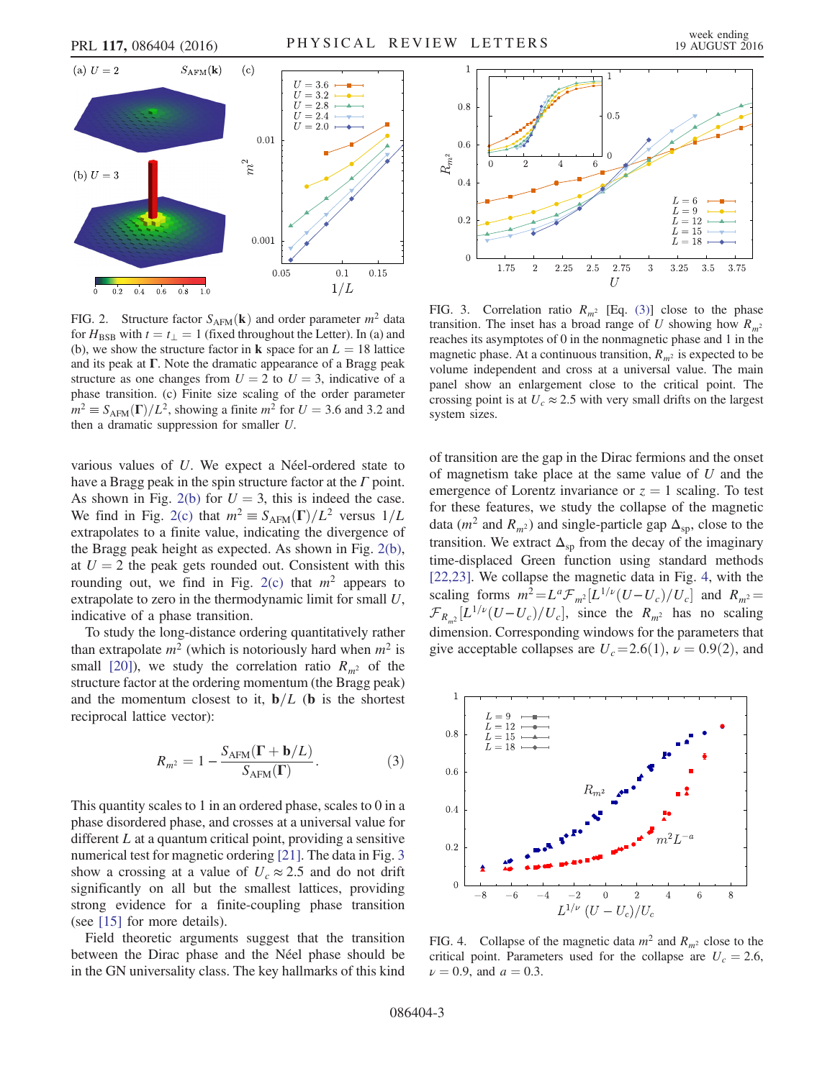<span id="page-2-0"></span>

FIG. 2. Structure factor  $S_{AFM}(\mathbf{k})$  and order parameter  $m^2$  data for  $H_{\text{BSB}}$  with  $t = t_{\perp} = 1$  (fixed throughout the Letter). In (a) and (b), we show the structure factor in **k** space for an  $L = 18$  lattice and its peak at Γ. Note the dramatic appearance of a Bragg peak structure as one changes from  $U = 2$  to  $U = 3$ , indicative of a phase transition. (c) Finite size scaling of the order parameter  $m^2 \equiv S_{AFM}(\Gamma)/L^2$ , showing a finite  $m^2$  for  $U = 3.6$  and 3.2 and then a dramatic suppression for smaller U.

various values of U. We expect a Néel-ordered state to have a Bragg peak in the spin structure factor at the  $\Gamma$  point. As shown in Fig. [2\(b\)](#page-2-0) for  $U = 3$ , this is indeed the case. We find in Fig. [2\(c\)](#page-2-0) that  $m^2 \equiv S_{\text{AFM}}(\Gamma)/L^2$  versus  $1/L$ extrapolates to a finite value, indicating the divergence of the Bragg peak height as expected. As shown in Fig. [2\(b\)](#page-2-0), at  $U = 2$  the peak gets rounded out. Consistent with this rounding out, we find in Fig. [2\(c\)](#page-2-0) that  $m<sup>2</sup>$  appears to extrapolate to zero in the thermodynamic limit for small U, indicative of a phase transition.

<span id="page-2-3"></span>To study the long-distance ordering quantitatively rather than extrapolate  $m^2$  (which is notoriously hard when  $m^2$  is small [\[20\]](#page-4-3)), we study the correlation ratio  $R_{m^2}$  of the structure factor at the ordering momentum (the Bragg peak) and the momentum closest to it,  $\mathbf{b}/L$  (b is the shortest reciprocal lattice vector):

$$
R_{m^2} = 1 - \frac{S_{\text{AFM}}(\Gamma + \mathbf{b}/L)}{S_{\text{AFM}}(\Gamma)}.
$$
 (3)

This quantity scales to 1 in an ordered phase, scales to 0 in a phase disordered phase, and crosses at a universal value for different  $L$  at a quantum critical point, providing a sensitive numerical test for magnetic ordering [\[21\].](#page-4-4) The data in Fig. [3](#page-2-1) show a crossing at a value of  $U_c \approx 2.5$  and do not drift significantly on all but the smallest lattices, providing strong evidence for a finite-coupling phase transition (see [\[15\]](#page-3-9) for more details).

Field theoretic arguments suggest that the transition between the Dirac phase and the Néel phase should be in the GN universality class. The key hallmarks of this kind

<span id="page-2-1"></span>

FIG. 3. Correlation ratio  $R_{m^2}$  [Eq. [\(3\)\]](#page-2-3) close to the phase transition. The inset has a broad range of U showing how  $R_{m^2}$ reaches its asymptotes of 0 in the nonmagnetic phase and 1 in the magnetic phase. At a continuous transition,  $R_{m^2}$  is expected to be volume independent and cross at a universal value. The main panel show an enlargement close to the critical point. The crossing point is at  $U_c \approx 2.5$  with very small drifts on the largest system sizes.

of transition are the gap in the Dirac fermions and the onset of magnetism take place at the same value of U and the emergence of Lorentz invariance or  $z = 1$  scaling. To test for these features, we study the collapse of the magnetic data ( $m^2$  and  $R_{m^2}$ ) and single-particle gap  $\Delta_{\rm SD}$ , close to the transition. We extract  $\Delta_{\text{sp}}$  from the decay of the imaginary time-displaced Green function using standard methods [\[22,23\]](#page-4-5). We collapse the magnetic data in Fig. [4,](#page-2-2) with the scaling forms  $m^2 = L^a \mathcal{F}_{m^2} [L^{1/\nu} (U - U_c)/U_c]$  and  $R_{m^2} =$ <br> $\mathcal{F} = [L^{1/\nu} (U - U_c)/U_c]$  since the *P*<sub>c-p</sub>hos no scaling  $\mathcal{F}_{R_m^2}[L^{1/\nu}(U-U_c)/U_c]$ , since the  $R_{m^2}$  has no scaling<br>dimension Compared in windows for the nonprotein that dimension. Corresponding windows for the parameters that give acceptable collapses are  $U_c = 2.6(1)$ ,  $\nu = 0.9(2)$ , and

<span id="page-2-2"></span>

FIG. 4. Collapse of the magnetic data  $m^2$  and  $R_{m^2}$  close to the critical point. Parameters used for the collapse are  $U_c = 2.6$ ,  $\nu = 0.9$ , and  $a = 0.3$ .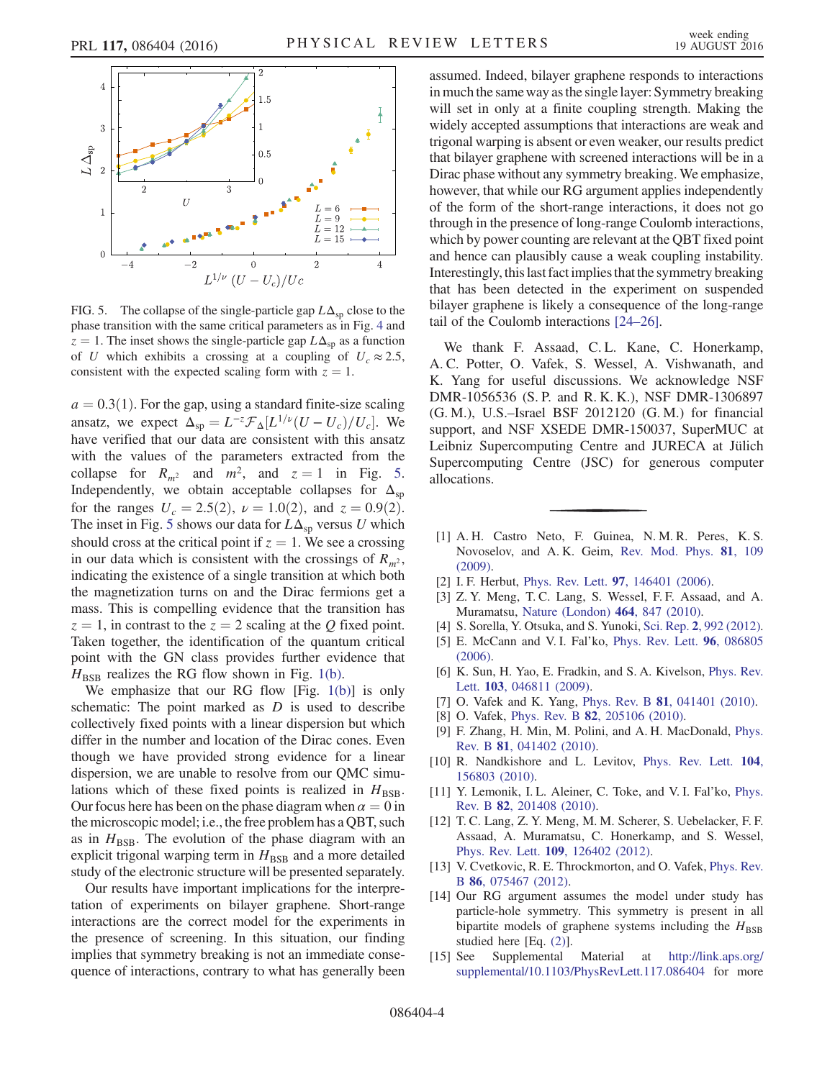<span id="page-3-10"></span>

FIG. 5. The collapse of the single-particle gap  $L\Delta_{\text{sp}}$  close to the phase transition with the same critical parameters as in Fig. [4](#page-2-2) and  $z = 1$ . The inset shows the single-particle gap  $L\Delta_{\text{sp}}$  as a function of U which exhibits a crossing at a coupling of  $U_c \approx 2.5$ , consistent with the expected scaling form with  $z = 1$ .

 $a = 0.3(1)$ . For the gap, using a standard finite-size scaling ansatz, we expect  $\Delta_{\rm sp} = L^{-z} \mathcal{F}_{\Delta} [L^{1/\nu} (U - U_c) / U_c]$ . We have verified that our data are consistent with this ansatz have verified that our data are consistent with this ansatz with the values of the parameters extracted from the collapse for  $R_{m^2}$  and  $m^2$ , and  $z = 1$  in Fig. [5](#page-3-10). Independently, we obtain acceptable collapses for  $\Delta_{\text{sp}}$ for the ranges  $U_c = 2.5(2)$ ,  $\nu = 1.0(2)$ , and  $z = 0.9(2)$ . The inset in Fig. [5](#page-3-10) shows our data for  $L\Delta_{\text{sp}}$  versus U which should cross at the critical point if  $z = 1$ . We see a crossing in our data which is consistent with the crossings of  $R_{m^2}$ , indicating the existence of a single transition at which both the magnetization turns on and the Dirac fermions get a mass. This is compelling evidence that the transition has  $z = 1$ , in contrast to the  $z = 2$  scaling at the Q fixed point. Taken together, the identification of the quantum critical point with the GN class provides further evidence that  $H<sub>BSB</sub>$  realizes the RG flow shown in Fig. [1\(b\)](#page-0-0).

We emphasize that our RG flow [Fig. [1\(b\)](#page-0-0)] is only schematic: The point marked as  $D$  is used to describe collectively fixed points with a linear dispersion but which differ in the number and location of the Dirac cones. Even though we have provided strong evidence for a linear dispersion, we are unable to resolve from our QMC simulations which of these fixed points is realized in  $H_{\text{BSB}}$ . Our focus here has been on the phase diagram when  $\alpha = 0$  in the microscopic model; i.e., the free problem has a QBT, such as in  $H_{BSB}$ . The evolution of the phase diagram with an explicit trigonal warping term in  $H_{\text{BSB}}$  and a more detailed study of the electronic structure will be presented separately.

Our results have important implications for the interpretation of experiments on bilayer graphene. Short-range interactions are the correct model for the experiments in the presence of screening. In this situation, our finding implies that symmetry breaking is not an immediate consequence of interactions, contrary to what has generally been assumed. Indeed, bilayer graphene responds to interactions in much the same way as the single layer: Symmetry breaking will set in only at a finite coupling strength. Making the widely accepted assumptions that interactions are weak and trigonal warping is absent or even weaker, our results predict that bilayer graphene with screened interactions will be in a Dirac phase without any symmetry breaking. We emphasize, however, that while our RG argument applies independently of the form of the short-range interactions, it does not go through in the presence of long-range Coulomb interactions, which by power counting are relevant at the QBT fixed point and hence can plausibly cause a weak coupling instability. Interestingly, this last fact implies that the symmetry breaking that has been detected in the experiment on suspended bilayer graphene is likely a consequence of the long-range tail of the Coulomb interactions [\[24](#page-4-6)–26].

We thank F. Assaad, C.L. Kane, C. Honerkamp, A. C. Potter, O. Vafek, S. Wessel, A. Vishwanath, and K. Yang for useful discussions. We acknowledge NSF DMR-1056536 (S. P. and R. K. K.), NSF DMR-1306897 (G. M.), U.S.–Israel BSF 2012120 (G. M.) for financial support, and NSF XSEDE DMR-150037, SuperMUC at Leibniz Supercomputing Centre and JURECA at Jülich Supercomputing Centre (JSC) for generous computer allocations.

- <span id="page-3-0"></span>[1] A. H. Castro Neto, F. Guinea, N. M. R. Peres, K. S. Novoselov, and A. K. Geim, [Rev. Mod. Phys.](http://dx.doi.org/10.1103/RevModPhys.81.109) 81, 109 [\(2009\).](http://dx.doi.org/10.1103/RevModPhys.81.109)
- <span id="page-3-1"></span>[2] I. F. Herbut, Phys. Rev. Lett. 97[, 146401 \(2006\)](http://dx.doi.org/10.1103/PhysRevLett.97.146401).
- [3] Z. Y. Meng, T. C. Lang, S. Wessel, F. F. Assaad, and A. Muramatsu, [Nature \(London\)](http://dx.doi.org/10.1038/nature08942) 464, 847 (2010).
- <span id="page-3-2"></span>[4] S. Sorella, Y. Otsuka, and S. Yunoki, Sci. Rep. 2[, 992 \(2012\).](http://dx.doi.org/10.1038/srep00992)
- [5] E. McCann and V. I. Fal'ko, [Phys. Rev. Lett.](http://dx.doi.org/10.1103/PhysRevLett.96.086805) 96, 086805 [\(2006\).](http://dx.doi.org/10.1103/PhysRevLett.96.086805)
- <span id="page-3-3"></span>[6] K. Sun, H. Yao, E. Fradkin, and S. A. Kivelson, *[Phys. Rev.](http://dx.doi.org/10.1103/PhysRevLett.103.046811)* Lett. **103**[, 046811 \(2009\)](http://dx.doi.org/10.1103/PhysRevLett.103.046811).
- <span id="page-3-6"></span><span id="page-3-4"></span>[7] O. Vafek and K. Yang, Phys. Rev. B **81**[, 041401 \(2010\).](http://dx.doi.org/10.1103/PhysRevB.81.041401)
- [8] O. Vafek, Phys. Rev. B **82**[, 205106 \(2010\)](http://dx.doi.org/10.1103/PhysRevB.82.205106).
- [9] F. Zhang, H. Min, M. Polini, and A. H. MacDonald, [Phys.](http://dx.doi.org/10.1103/PhysRevB.81.041402) Rev. B 81[, 041402 \(2010\).](http://dx.doi.org/10.1103/PhysRevB.81.041402)
- [10] R. Nandkishore and L. Levitov, [Phys. Rev. Lett.](http://dx.doi.org/10.1103/PhysRevLett.104.156803) 104, [156803 \(2010\).](http://dx.doi.org/10.1103/PhysRevLett.104.156803)
- [11] Y. Lemonik, I. L. Aleiner, C. Toke, and V. I. Fal'ko, [Phys.](http://dx.doi.org/10.1103/PhysRevB.82.201408) Rev. B 82[, 201408 \(2010\).](http://dx.doi.org/10.1103/PhysRevB.82.201408)
- <span id="page-3-5"></span>[12] T. C. Lang, Z. Y. Meng, M. M. Scherer, S. Uebelacker, F. F. Assaad, A. Muramatsu, C. Honerkamp, and S. Wessel, Phys. Rev. Lett. 109[, 126402 \(2012\).](http://dx.doi.org/10.1103/PhysRevLett.109.126402)
- <span id="page-3-7"></span>[13] V. Cvetkovic, R. E. Throckmorton, and O. Vafek, [Phys. Rev.](http://dx.doi.org/10.1103/PhysRevB.86.075467) B 86[, 075467 \(2012\).](http://dx.doi.org/10.1103/PhysRevB.86.075467)
- <span id="page-3-8"></span>[14] Our RG argument assumes the model under study has particle-hole symmetry. This symmetry is present in all bipartite models of graphene systems including the  $H_{\text{BSB}}$ studied here [Eq. [\(2\)\]](#page-1-1).
- <span id="page-3-9"></span>[15] See Supplemental Material at [http://link.aps.org/](http://link.aps.org/supplemental/10.1103/PhysRevLett.117.086404) [supplemental/10.1103/PhysRevLett.117.086404](http://link.aps.org/supplemental/10.1103/PhysRevLett.117.086404) for more